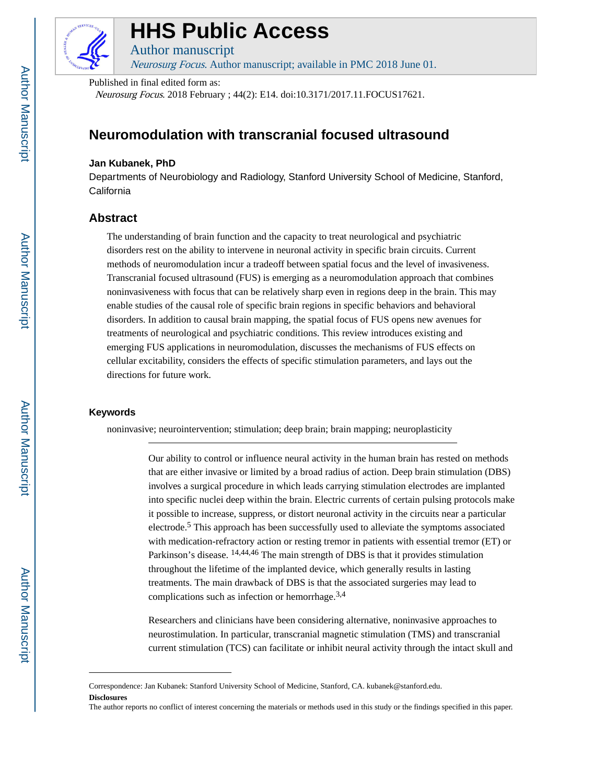

# **HHS Public Access**

Author manuscript

Neurosurg Focus. Author manuscript; available in PMC 2018 June 01.

Published in final edited form as:

Neurosurg Focus. 2018 February ; 44(2): E14. doi:10.3171/2017.11.FOCUS17621.

# **Neuromodulation with transcranial focused ultrasound**

#### **Jan Kubanek, PhD**

Departments of Neurobiology and Radiology, Stanford University School of Medicine, Stanford, California

# **Abstract**

The understanding of brain function and the capacity to treat neurological and psychiatric disorders rest on the ability to intervene in neuronal activity in specific brain circuits. Current methods of neuromodulation incur a tradeoff between spatial focus and the level of invasiveness. Transcranial focused ultrasound (FUS) is emerging as a neuromodulation approach that combines noninvasiveness with focus that can be relatively sharp even in regions deep in the brain. This may enable studies of the causal role of specific brain regions in specific behaviors and behavioral disorders. In addition to causal brain mapping, the spatial focus of FUS opens new avenues for treatments of neurological and psychiatric conditions. This review introduces existing and emerging FUS applications in neuromodulation, discusses the mechanisms of FUS effects on cellular excitability, considers the effects of specific stimulation parameters, and lays out the directions for future work.

#### **Keywords**

noninvasive; neurointervention; stimulation; deep brain; brain mapping; neuroplasticity

Our ability to control or influence neural activity in the human brain has rested on methods that are either invasive or limited by a broad radius of action. Deep brain stimulation (DBS) involves a surgical procedure in which leads carrying stimulation electrodes are implanted into specific nuclei deep within the brain. Electric currents of certain pulsing protocols make it possible to increase, suppress, or distort neuronal activity in the circuits near a particular electrode.<sup>5</sup> This approach has been successfully used to alleviate the symptoms associated with medication-refractory action or resting tremor in patients with essential tremor (ET) or Parkinson's disease. 14,44,46 The main strength of DBS is that it provides stimulation throughout the lifetime of the implanted device, which generally results in lasting treatments. The main drawback of DBS is that the associated surgeries may lead to complications such as infection or hemorrhage.3,4

Researchers and clinicians have been considering alternative, noninvasive approaches to neurostimulation. In particular, transcranial magnetic stimulation (TMS) and transcranial current stimulation (TCS) can facilitate or inhibit neural activity through the intact skull and

**Disclosures**

Correspondence: Jan Kubanek: Stanford University School of Medicine, Stanford, CA. kubanek@stanford.edu.

The author reports no conflict of interest concerning the materials or methods used in this study or the findings specified in this paper.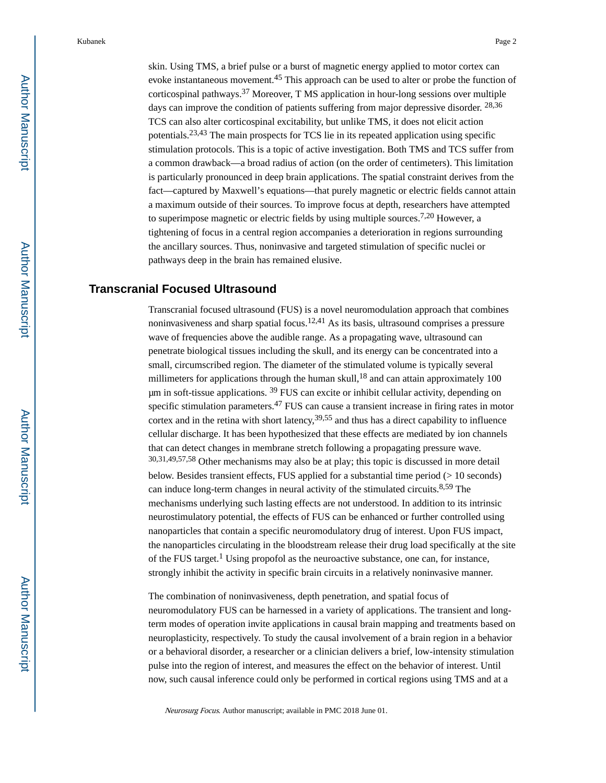skin. Using TMS, a brief pulse or a burst of magnetic energy applied to motor cortex can evoke instantaneous movement.<sup>45</sup> This approach can be used to alter or probe the function of corticospinal pathways.37 Moreover, T MS application in hour-long sessions over multiple days can improve the condition of patients suffering from major depressive disorder. <sup>28,36</sup> TCS can also alter corticospinal excitability, but unlike TMS, it does not elicit action potentials.23,43 The main prospects for TCS lie in its repeated application using specific stimulation protocols. This is a topic of active investigation. Both TMS and TCS suffer from a common drawback—a broad radius of action (on the order of centimeters). This limitation is particularly pronounced in deep brain applications. The spatial constraint derives from the fact—captured by Maxwell's equations—that purely magnetic or electric fields cannot attain a maximum outside of their sources. To improve focus at depth, researchers have attempted to superimpose magnetic or electric fields by using multiple sources.7,20 However, a tightening of focus in a central region accompanies a deterioration in regions surrounding the ancillary sources. Thus, noninvasive and targeted stimulation of specific nuclei or pathways deep in the brain has remained elusive.

## **Transcranial Focused Ultrasound**

Transcranial focused ultrasound (FUS) is a novel neuromodulation approach that combines noninvasiveness and sharp spatial focus.<sup>12,41</sup> As its basis, ultrasound comprises a pressure wave of frequencies above the audible range. As a propagating wave, ultrasound can penetrate biological tissues including the skull, and its energy can be concentrated into a small, circumscribed region. The diameter of the stimulated volume is typically several millimeters for applications through the human skull, $18$  and can attain approximately 100  $\mu$ m in soft-tissue applications. <sup>39</sup> FUS can excite or inhibit cellular activity, depending on specific stimulation parameters.<sup>47</sup> FUS can cause a transient increase in firing rates in motor cortex and in the retina with short latency,  $39,55$  and thus has a direct capability to influence cellular discharge. It has been hypothesized that these effects are mediated by ion channels that can detect changes in membrane stretch following a propagating pressure wave. 30,31,49,57,58 Other mechanisms may also be at play; this topic is discussed in more detail below. Besides transient effects, FUS applied for a substantial time period (> 10 seconds) can induce long-term changes in neural activity of the stimulated circuits.<sup>8,59</sup> The mechanisms underlying such lasting effects are not understood. In addition to its intrinsic neurostimulatory potential, the effects of FUS can be enhanced or further controlled using nanoparticles that contain a specific neuromodulatory drug of interest. Upon FUS impact, the nanoparticles circulating in the bloodstream release their drug load specifically at the site of the FUS target.<sup>1</sup> Using propofol as the neuroactive substance, one can, for instance, strongly inhibit the activity in specific brain circuits in a relatively noninvasive manner.

The combination of noninvasiveness, depth penetration, and spatial focus of neuromodulatory FUS can be harnessed in a variety of applications. The transient and longterm modes of operation invite applications in causal brain mapping and treatments based on neuroplasticity, respectively. To study the causal involvement of a brain region in a behavior or a behavioral disorder, a researcher or a clinician delivers a brief, low-intensity stimulation pulse into the region of interest, and measures the effect on the behavior of interest. Until now, such causal inference could only be performed in cortical regions using TMS and at a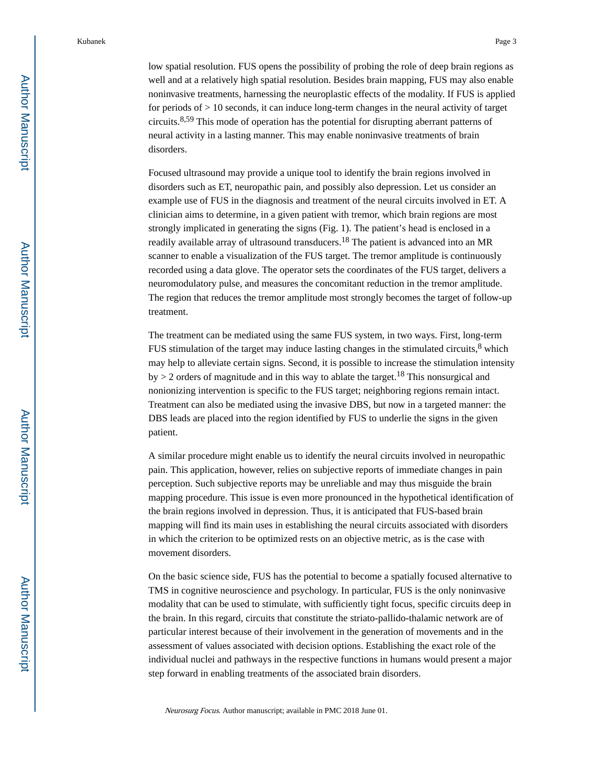low spatial resolution. FUS opens the possibility of probing the role of deep brain regions as well and at a relatively high spatial resolution. Besides brain mapping, FUS may also enable noninvasive treatments, harnessing the neuroplastic effects of the modality. If FUS is applied for periods of  $> 10$  seconds, it can induce long-term changes in the neural activity of target circuits. $8,59$  This mode of operation has the potential for disrupting aberrant patterns of neural activity in a lasting manner. This may enable noninvasive treatments of brain disorders.

Focused ultrasound may provide a unique tool to identify the brain regions involved in disorders such as ET, neuropathic pain, and possibly also depression. Let us consider an example use of FUS in the diagnosis and treatment of the neural circuits involved in ET. A clinician aims to determine, in a given patient with tremor, which brain regions are most strongly implicated in generating the signs (Fig. 1). The patient's head is enclosed in a readily available array of ultrasound transducers.18 The patient is advanced into an MR scanner to enable a visualization of the FUS target. The tremor amplitude is continuously recorded using a data glove. The operator sets the coordinates of the FUS target, delivers a neuromodulatory pulse, and measures the concomitant reduction in the tremor amplitude. The region that reduces the tremor amplitude most strongly becomes the target of follow-up treatment.

The treatment can be mediated using the same FUS system, in two ways. First, long-term FUS stimulation of the target may induce lasting changes in the stimulated circuits, $8$  which may help to alleviate certain signs. Second, it is possible to increase the stimulation intensity by  $> 2$  orders of magnitude and in this way to ablate the target.<sup>18</sup> This nonsurgical and nonionizing intervention is specific to the FUS target; neighboring regions remain intact. Treatment can also be mediated using the invasive DBS, but now in a targeted manner: the DBS leads are placed into the region identified by FUS to underlie the signs in the given patient.

A similar procedure might enable us to identify the neural circuits involved in neuropathic pain. This application, however, relies on subjective reports of immediate changes in pain perception. Such subjective reports may be unreliable and may thus misguide the brain mapping procedure. This issue is even more pronounced in the hypothetical identification of the brain regions involved in depression. Thus, it is anticipated that FUS-based brain mapping will find its main uses in establishing the neural circuits associated with disorders in which the criterion to be optimized rests on an objective metric, as is the case with movement disorders.

On the basic science side, FUS has the potential to become a spatially focused alternative to TMS in cognitive neuroscience and psychology. In particular, FUS is the only noninvasive modality that can be used to stimulate, with sufficiently tight focus, specific circuits deep in the brain. In this regard, circuits that constitute the striato-pallido-thalamic network are of particular interest because of their involvement in the generation of movements and in the assessment of values associated with decision options. Establishing the exact role of the individual nuclei and pathways in the respective functions in humans would present a major step forward in enabling treatments of the associated brain disorders.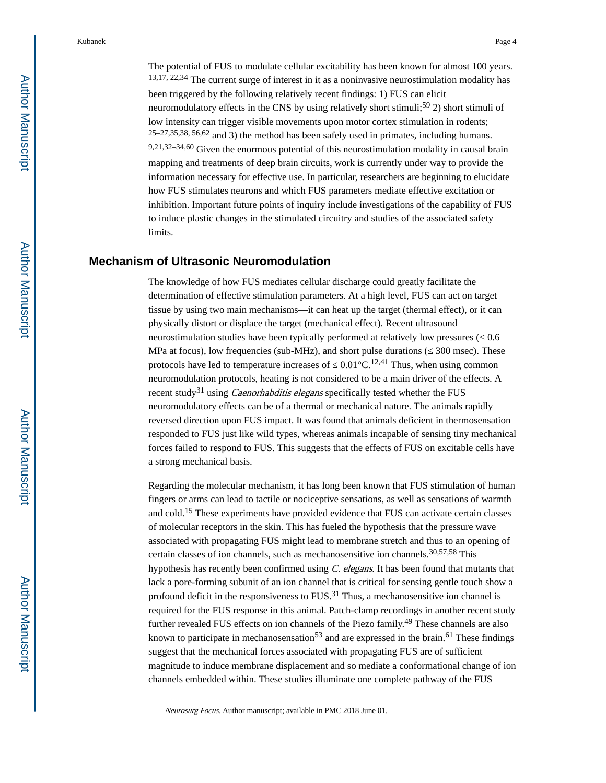The potential of FUS to modulate cellular excitability has been known for almost 100 years. 13,17, 22,34 The current surge of interest in it as a noninvasive neurostimulation modality has been triggered by the following relatively recent findings: 1) FUS can elicit neuromodulatory effects in the CNS by using relatively short stimuli;<sup>59</sup> 2) short stimuli of low intensity can trigger visible movements upon motor cortex stimulation in rodents; 25–27,35,38, 56,62 and 3) the method has been safely used in primates, including humans. 9,21,32–34,60 Given the enormous potential of this neurostimulation modality in causal brain mapping and treatments of deep brain circuits, work is currently under way to provide the information necessary for effective use. In particular, researchers are beginning to elucidate how FUS stimulates neurons and which FUS parameters mediate effective excitation or inhibition. Important future points of inquiry include investigations of the capability of FUS to induce plastic changes in the stimulated circuitry and studies of the associated safety limits.

# **Mechanism of Ultrasonic Neuromodulation**

The knowledge of how FUS mediates cellular discharge could greatly facilitate the determination of effective stimulation parameters. At a high level, FUS can act on target tissue by using two main mechanisms—it can heat up the target (thermal effect), or it can physically distort or displace the target (mechanical effect). Recent ultrasound neurostimulation studies have been typically performed at relatively low pressures (< 0.6 MPa at focus), low frequencies (sub-MHz), and short pulse durations  $(300 \text{ msec})$ . These protocols have led to temperature increases of  $0.01^{\circ}$ C.<sup>12,41</sup> Thus, when using common neuromodulation protocols, heating is not considered to be a main driver of the effects. A recent study<sup>31</sup> using *Caenorhabditis elegans* specifically tested whether the FUS neuromodulatory effects can be of a thermal or mechanical nature. The animals rapidly reversed direction upon FUS impact. It was found that animals deficient in thermosensation responded to FUS just like wild types, whereas animals incapable of sensing tiny mechanical forces failed to respond to FUS. This suggests that the effects of FUS on excitable cells have a strong mechanical basis.

Regarding the molecular mechanism, it has long been known that FUS stimulation of human fingers or arms can lead to tactile or nociceptive sensations, as well as sensations of warmth and cold.15 These experiments have provided evidence that FUS can activate certain classes of molecular receptors in the skin. This has fueled the hypothesis that the pressure wave associated with propagating FUS might lead to membrane stretch and thus to an opening of certain classes of ion channels, such as mechanosensitive ion channels.<sup>30,57,58</sup> This hypothesis has recently been confirmed using C. elegans. It has been found that mutants that lack a pore-forming subunit of an ion channel that is critical for sensing gentle touch show a profound deficit in the responsiveness to  $FUS$ <sup>31</sup>. Thus, a mechanosensitive ion channel is required for the FUS response in this animal. Patch-clamp recordings in another recent study further revealed FUS effects on ion channels of the Piezo family.<sup>49</sup> These channels are also known to participate in mechanosensation<sup>53</sup> and are expressed in the brain.<sup>61</sup> These findings suggest that the mechanical forces associated with propagating FUS are of sufficient magnitude to induce membrane displacement and so mediate a conformational change of ion channels embedded within. These studies illuminate one complete pathway of the FUS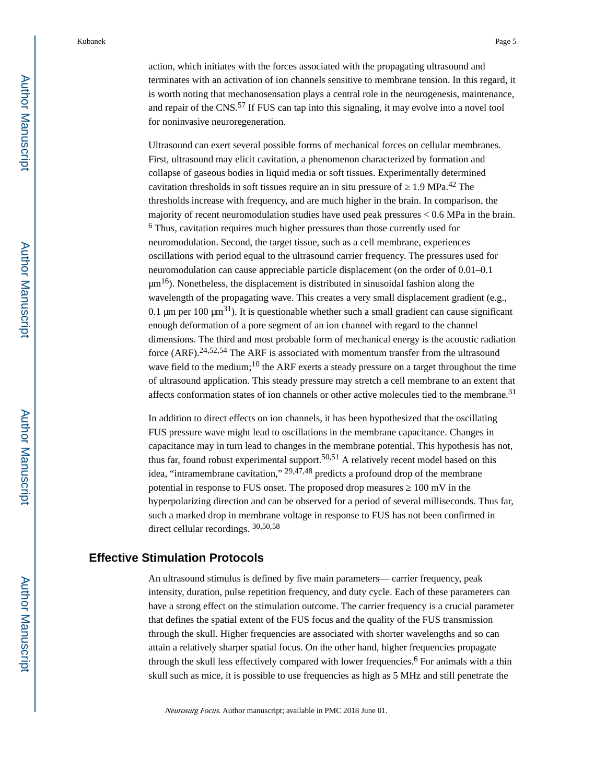action, which initiates with the forces associated with the propagating ultrasound and terminates with an activation of ion channels sensitive to membrane tension. In this regard, it is worth noting that mechanosensation plays a central role in the neurogenesis, maintenance, and repair of the CNS.<sup>57</sup> If FUS can tap into this signaling, it may evolve into a novel tool for noninvasive neuroregeneration.

Ultrasound can exert several possible forms of mechanical forces on cellular membranes. First, ultrasound may elicit cavitation, a phenomenon characterized by formation and collapse of gaseous bodies in liquid media or soft tissues. Experimentally determined cavitation thresholds in soft tissues require an in situ pressure of  $1.9 \text{ MPa}^{42}$  The thresholds increase with frequency, and are much higher in the brain. In comparison, the majority of recent neuromodulation studies have used peak pressures < 0.6 MPa in the brain. <sup>6</sup> Thus, cavitation requires much higher pressures than those currently used for neuromodulation. Second, the target tissue, such as a cell membrane, experiences oscillations with period equal to the ultrasound carrier frequency. The pressures used for neuromodulation can cause appreciable particle displacement (on the order of 0.01–0.1  $\mu$ m<sup>16</sup>). Nonetheless, the displacement is distributed in sinusoidal fashion along the wavelength of the propagating wave. This creates a very small displacement gradient (e.g., 0.1  $\mu$ m per 100  $\mu$ m<sup>31</sup>). It is questionable whether such a small gradient can cause significant enough deformation of a pore segment of an ion channel with regard to the channel dimensions. The third and most probable form of mechanical energy is the acoustic radiation force (ARF).  $24,52,54$  The ARF is associated with momentum transfer from the ultrasound wave field to the medium;<sup>10</sup> the ARF exerts a steady pressure on a target throughout the time of ultrasound application. This steady pressure may stretch a cell membrane to an extent that affects conformation states of ion channels or other active molecules tied to the membrane.<sup>31</sup>

In addition to direct effects on ion channels, it has been hypothesized that the oscillating FUS pressure wave might lead to oscillations in the membrane capacitance. Changes in capacitance may in turn lead to changes in the membrane potential. This hypothesis has not, thus far, found robust experimental support.<sup>50,51</sup> A relatively recent model based on this idea, "intramembrane cavitation," 29,47,48 predicts a profound drop of the membrane potential in response to FUS onset. The proposed drop measures  $100 \text{ mV}$  in the hyperpolarizing direction and can be observed for a period of several milliseconds. Thus far, such a marked drop in membrane voltage in response to FUS has not been confirmed in direct cellular recordings. 30,50,58

#### **Effective Stimulation Protocols**

An ultrasound stimulus is defined by five main parameters— carrier frequency, peak intensity, duration, pulse repetition frequency, and duty cycle. Each of these parameters can have a strong effect on the stimulation outcome. The carrier frequency is a crucial parameter that defines the spatial extent of the FUS focus and the quality of the FUS transmission through the skull. Higher frequencies are associated with shorter wavelengths and so can attain a relatively sharper spatial focus. On the other hand, higher frequencies propagate through the skull less effectively compared with lower frequencies.<sup>6</sup> For animals with a thin skull such as mice, it is possible to use frequencies as high as 5 MHz and still penetrate the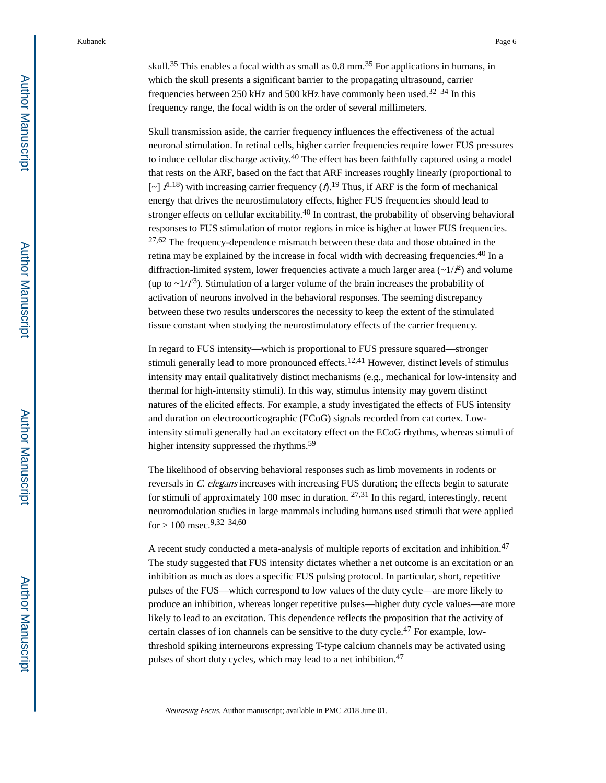skull.<sup>35</sup> This enables a focal width as small as  $0.8 \text{ mm}$ .<sup>35</sup> For applications in humans, in which the skull presents a significant barrier to the propagating ultrasound, carrier frequencies between 250 kHz and 500 kHz have commonly been used.<sup>32–34</sup> In this frequency range, the focal width is on the order of several millimeters.

Skull transmission aside, the carrier frequency influences the effectiveness of the actual neuronal stimulation. In retinal cells, higher carrier frequencies require lower FUS pressures to induce cellular discharge activity.<sup>40</sup> The effect has been faithfully captured using a model that rests on the ARF, based on the fact that ARF increases roughly linearly (proportional to  $[\sim]$   $f^{1.18}$ ) with increasing carrier frequency (*f*).<sup>19</sup> Thus, if ARF is the form of mechanical energy that drives the neurostimulatory effects, higher FUS frequencies should lead to stronger effects on cellular excitability.40 In contrast, the probability of observing behavioral responses to FUS stimulation of motor regions in mice is higher at lower FUS frequencies. <sup>27,62</sup> The frequency-dependence mismatch between these data and those obtained in the retina may be explained by the increase in focal width with decreasing frequencies.40 In a diffraction-limited system, lower frequencies activate a much larger area  $(\sim 1/\hat{f})$  and volume (up to  $\sim 1/f^3$ ). Stimulation of a larger volume of the brain increases the probability of activation of neurons involved in the behavioral responses. The seeming discrepancy between these two results underscores the necessity to keep the extent of the stimulated tissue constant when studying the neurostimulatory effects of the carrier frequency.

In regard to FUS intensity—which is proportional to FUS pressure squared—stronger stimuli generally lead to more pronounced effects.<sup>12,41</sup> However, distinct levels of stimulus intensity may entail qualitatively distinct mechanisms (e.g., mechanical for low-intensity and thermal for high-intensity stimuli). In this way, stimulus intensity may govern distinct natures of the elicited effects. For example, a study investigated the effects of FUS intensity and duration on electrocorticographic (ECoG) signals recorded from cat cortex. Lowintensity stimuli generally had an excitatory effect on the ECoG rhythms, whereas stimuli of higher intensity suppressed the rhythms.<sup>59</sup>

The likelihood of observing behavioral responses such as limb movements in rodents or reversals in C. elegans increases with increasing FUS duration; the effects begin to saturate for stimuli of approximately 100 msec in duration.  $27,31$  In this regard, interestingly, recent neuromodulation studies in large mammals including humans used stimuli that were applied for  $100$  msec.  $9,32-34,60$ 

A recent study conducted a meta-analysis of multiple reports of excitation and inhibition.<sup>47</sup> The study suggested that FUS intensity dictates whether a net outcome is an excitation or an inhibition as much as does a specific FUS pulsing protocol. In particular, short, repetitive pulses of the FUS—which correspond to low values of the duty cycle—are more likely to produce an inhibition, whereas longer repetitive pulses—higher duty cycle values—are more likely to lead to an excitation. This dependence reflects the proposition that the activity of certain classes of ion channels can be sensitive to the duty cycle.47 For example, lowthreshold spiking interneurons expressing T-type calcium channels may be activated using pulses of short duty cycles, which may lead to a net inhibition.<sup>47</sup>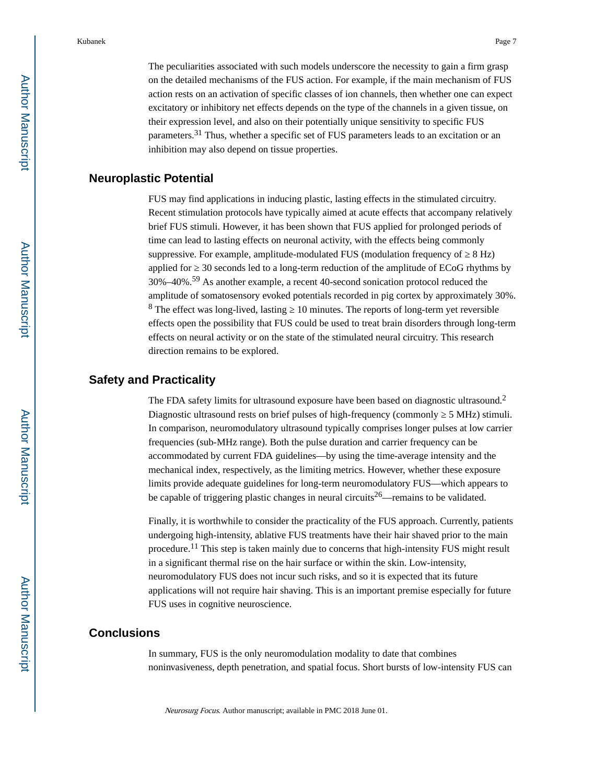The peculiarities associated with such models underscore the necessity to gain a firm grasp on the detailed mechanisms of the FUS action. For example, if the main mechanism of FUS action rests on an activation of specific classes of ion channels, then whether one can expect excitatory or inhibitory net effects depends on the type of the channels in a given tissue, on their expression level, and also on their potentially unique sensitivity to specific FUS parameters.<sup>31</sup> Thus, whether a specific set of FUS parameters leads to an excitation or an inhibition may also depend on tissue properties.

#### **Neuroplastic Potential**

FUS may find applications in inducing plastic, lasting effects in the stimulated circuitry. Recent stimulation protocols have typically aimed at acute effects that accompany relatively brief FUS stimuli. However, it has been shown that FUS applied for prolonged periods of time can lead to lasting effects on neuronal activity, with the effects being commonly suppressive. For example, amplitude-modulated FUS (modulation frequency of  $8 \text{ Hz}$ ) applied for 30 seconds led to a long-term reduction of the amplitude of ECoG rhythms by 30%–40%.59 As another example, a recent 40-second sonication protocol reduced the amplitude of somatosensory evoked potentials recorded in pig cortex by approximately 30%.  $8$  The effect was long-lived, lasting  $10$  minutes. The reports of long-term yet reversible effects open the possibility that FUS could be used to treat brain disorders through long-term effects on neural activity or on the state of the stimulated neural circuitry. This research direction remains to be explored.

#### **Safety and Practicality**

The FDA safety limits for ultrasound exposure have been based on diagnostic ultrasound.<sup>2</sup> Diagnostic ultrasound rests on brief pulses of high-frequency (commonly  $\frac{1}{2}$  5 MHz) stimuli. In comparison, neuromodulatory ultrasound typically comprises longer pulses at low carrier frequencies (sub-MHz range). Both the pulse duration and carrier frequency can be accommodated by current FDA guidelines—by using the time-average intensity and the mechanical index, respectively, as the limiting metrics. However, whether these exposure limits provide adequate guidelines for long-term neuromodulatory FUS—which appears to be capable of triggering plastic changes in neural circuits<sup>26</sup>—remains to be validated.

Finally, it is worthwhile to consider the practicality of the FUS approach. Currently, patients undergoing high-intensity, ablative FUS treatments have their hair shaved prior to the main procedure.<sup>11</sup> This step is taken mainly due to concerns that high-intensity FUS might result in a significant thermal rise on the hair surface or within the skin. Low-intensity, neuromodulatory FUS does not incur such risks, and so it is expected that its future applications will not require hair shaving. This is an important premise especially for future FUS uses in cognitive neuroscience.

# **Conclusions**

In summary, FUS is the only neuromodulation modality to date that combines noninvasiveness, depth penetration, and spatial focus. Short bursts of low-intensity FUS can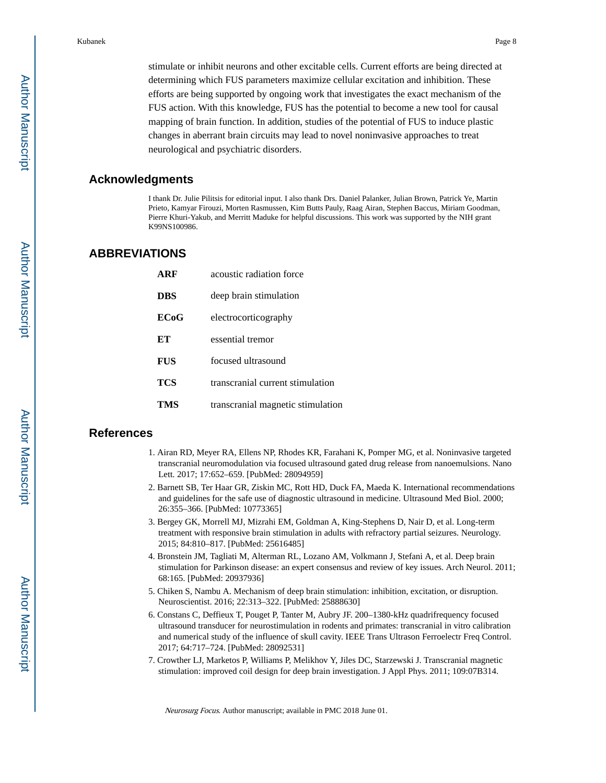stimulate or inhibit neurons and other excitable cells. Current efforts are being directed at determining which FUS parameters maximize cellular excitation and inhibition. These efforts are being supported by ongoing work that investigates the exact mechanism of the FUS action. With this knowledge, FUS has the potential to become a new tool for causal mapping of brain function. In addition, studies of the potential of FUS to induce plastic changes in aberrant brain circuits may lead to novel noninvasive approaches to treat neurological and psychiatric disorders.

## **Acknowledgments**

I thank Dr. Julie Pilitsis for editorial input. I also thank Drs. Daniel Palanker, Julian Brown, Patrick Ye, Martin Prieto, Kamyar Firouzi, Morten Rasmussen, Kim Butts Pauly, Raag Airan, Stephen Baccus, Miriam Goodman, Pierre Khuri-Yakub, and Merritt Maduke for helpful discussions. This work was supported by the NIH grant K99NS100986.

# **ABBREVIATIONS**

| ARF         | acoustic radiation force          |
|-------------|-----------------------------------|
| <b>DBS</b>  | deep brain stimulation            |
| <b>ECoG</b> | electrocorticography              |
| EТ          | essential tremor                  |
| <b>FUS</b>  | focused ultrasound                |
| TCS         | transcranial current stimulation  |
|             | transcranial magnetic stimulation |

#### **References**

- 1. Airan RD, Meyer RA, Ellens NP, Rhodes KR, Farahani K, Pomper MG, et al. Noninvasive targeted transcranial neuromodulation via focused ultrasound gated drug release from nanoemulsions. Nano Lett. 2017; 17:652–659. [PubMed: 28094959]
- 2. Barnett SB, Ter Haar GR, Ziskin MC, Rott HD, Duck FA, Maeda K. International recommendations and guidelines for the safe use of diagnostic ultrasound in medicine. Ultrasound Med Biol. 2000; 26:355–366. [PubMed: 10773365]
- 3. Bergey GK, Morrell MJ, Mizrahi EM, Goldman A, King-Stephens D, Nair D, et al. Long-term treatment with responsive brain stimulation in adults with refractory partial seizures. Neurology. 2015; 84:810–817. [PubMed: 25616485]
- 4. Bronstein JM, Tagliati M, Alterman RL, Lozano AM, Volkmann J, Stefani A, et al. Deep brain stimulation for Parkinson disease: an expert consensus and review of key issues. Arch Neurol. 2011; 68:165. [PubMed: 20937936]
- 5. Chiken S, Nambu A. Mechanism of deep brain stimulation: inhibition, excitation, or disruption. Neuroscientist. 2016; 22:313–322. [PubMed: 25888630]
- 6. Constans C, Deffieux T, Pouget P, Tanter M, Aubry JF. 200–1380-kHz quadrifrequency focused ultrasound transducer for neurostimulation in rodents and primates: transcranial in vitro calibration and numerical study of the influence of skull cavity. IEEE Trans Ultrason Ferroelectr Freq Control. 2017; 64:717–724. [PubMed: 28092531]
- 7. Crowther LJ, Marketos P, Williams P, Melikhov Y, Jiles DC, Starzewski J. Transcranial magnetic stimulation: improved coil design for deep brain investigation. J Appl Phys. 2011; 109:07B314.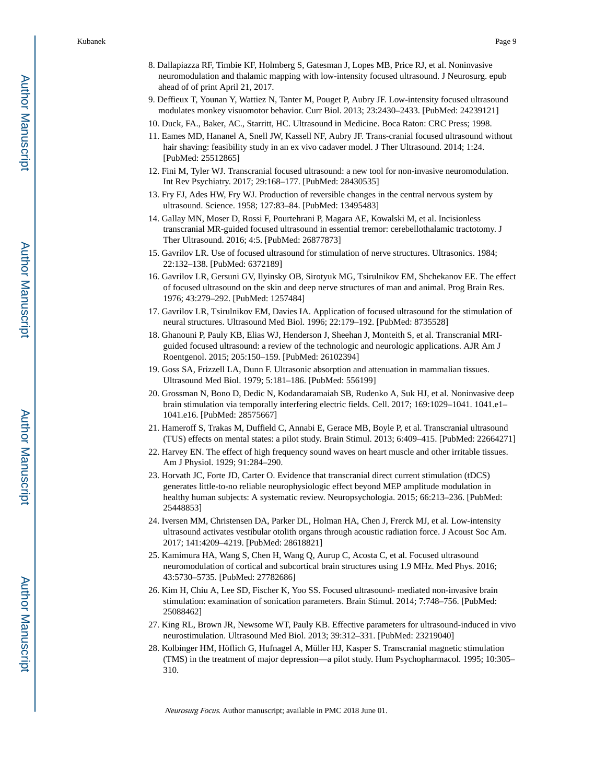- 8. Dallapiazza RF, Timbie KF, Holmberg S, Gatesman J, Lopes MB, Price RJ, et al. Noninvasive neuromodulation and thalamic mapping with low-intensity focused ultrasound. J Neurosurg. epub ahead of of print April 21, 2017.
- 9. Deffieux T, Younan Y, Wattiez N, Tanter M, Pouget P, Aubry JF. Low-intensity focused ultrasound modulates monkey visuomotor behavior. Curr Biol. 2013; 23:2430–2433. [PubMed: 24239121]
- 10. Duck, FA., Baker, AC., Starritt, HC. Ultrasound in Medicine. Boca Raton: CRC Press; 1998.
- 11. Eames MD, Hananel A, Snell JW, Kassell NF, Aubry JF. Trans-cranial focused ultrasound without hair shaving: feasibility study in an ex vivo cadaver model. J Ther Ultrasound. 2014; 1:24. [PubMed: 25512865]
- 12. Fini M, Tyler WJ. Transcranial focused ultrasound: a new tool for non-invasive neuromodulation. Int Rev Psychiatry. 2017; 29:168–177. [PubMed: 28430535]
- 13. Fry FJ, Ades HW, Fry WJ. Production of reversible changes in the central nervous system by ultrasound. Science. 1958; 127:83–84. [PubMed: 13495483]
- 14. Gallay MN, Moser D, Rossi F, Pourtehrani P, Magara AE, Kowalski M, et al. Incisionless transcranial MR-guided focused ultrasound in essential tremor: cerebellothalamic tractotomy. J Ther Ultrasound. 2016; 4:5. [PubMed: 26877873]
- 15. Gavrilov LR. Use of focused ultrasound for stimulation of nerve structures. Ultrasonics. 1984; 22:132–138. [PubMed: 6372189]
- 16. Gavrilov LR, Gersuni GV, Ilyinsky OB, Sirotyuk MG, Tsirulnikov EM, Shchekanov EE. The effect of focused ultrasound on the skin and deep nerve structures of man and animal. Prog Brain Res. 1976; 43:279–292. [PubMed: 1257484]
- 17. Gavrilov LR, Tsirulnikov EM, Davies IA. Application of focused ultrasound for the stimulation of neural structures. Ultrasound Med Biol. 1996; 22:179–192. [PubMed: 8735528]
- 18. Ghanouni P, Pauly KB, Elias WJ, Henderson J, Sheehan J, Monteith S, et al. Transcranial MRIguided focused ultrasound: a review of the technologic and neurologic applications. AJR Am J Roentgenol. 2015; 205:150–159. [PubMed: 26102394]
- 19. Goss SA, Frizzell LA, Dunn F. Ultrasonic absorption and attenuation in mammalian tissues. Ultrasound Med Biol. 1979; 5:181–186. [PubMed: 556199]
- 20. Grossman N, Bono D, Dedic N, Kodandaramaiah SB, Rudenko A, Suk HJ, et al. Noninvasive deep brain stimulation via temporally interfering electric fields. Cell. 2017; 169:1029–1041. 1041.e1– 1041.e16. [PubMed: 28575667]
- 21. Hameroff S, Trakas M, Duffield C, Annabi E, Gerace MB, Boyle P, et al. Transcranial ultrasound (TUS) effects on mental states: a pilot study. Brain Stimul. 2013; 6:409–415. [PubMed: 22664271]
- 22. Harvey EN. The effect of high frequency sound waves on heart muscle and other irritable tissues. Am J Physiol. 1929; 91:284–290.
- 23. Horvath JC, Forte JD, Carter O. Evidence that transcranial direct current stimulation (tDCS) generates little-to-no reliable neurophysiologic effect beyond MEP amplitude modulation in healthy human subjects: A systematic review. Neuropsychologia. 2015; 66:213–236. [PubMed: 25448853]
- 24. Iversen MM, Christensen DA, Parker DL, Holman HA, Chen J, Frerck MJ, et al. Low-intensity ultrasound activates vestibular otolith organs through acoustic radiation force. J Acoust Soc Am. 2017; 141:4209–4219. [PubMed: 28618821]
- 25. Kamimura HA, Wang S, Chen H, Wang Q, Aurup C, Acosta C, et al. Focused ultrasound neuromodulation of cortical and subcortical brain structures using 1.9 MHz. Med Phys. 2016; 43:5730–5735. [PubMed: 27782686]
- 26. Kim H, Chiu A, Lee SD, Fischer K, Yoo SS. Focused ultrasound- mediated non-invasive brain stimulation: examination of sonication parameters. Brain Stimul. 2014; 7:748–756. [PubMed: 25088462]
- 27. King RL, Brown JR, Newsome WT, Pauly KB. Effective parameters for ultrasound-induced in vivo neurostimulation. Ultrasound Med Biol. 2013; 39:312–331. [PubMed: 23219040]
- 28. Kolbinger HM, Höflich G, Hufnagel A, Müller HJ, Kasper S. Transcranial magnetic stimulation (TMS) in the treatment of major depression—a pilot study. Hum Psychopharmacol. 1995; 10:305– 310.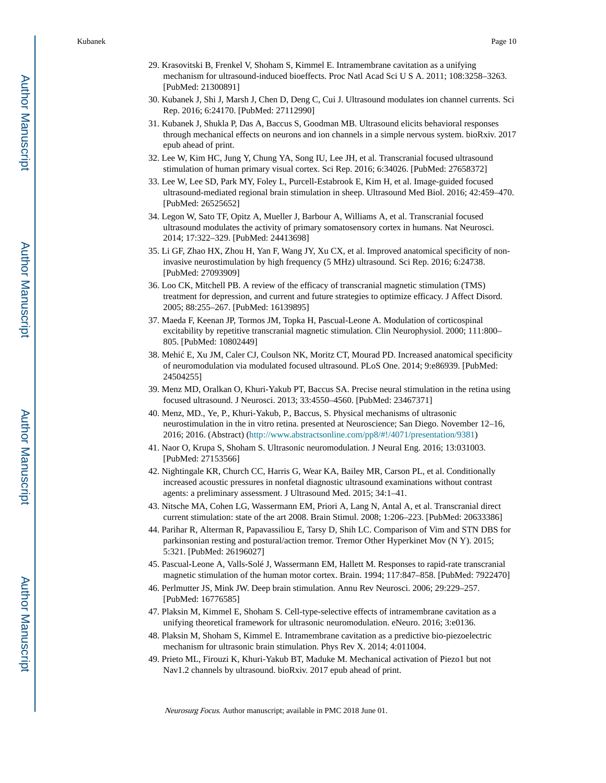- 29. Krasovitski B, Frenkel V, Shoham S, Kimmel E. Intramembrane cavitation as a unifying mechanism for ultrasound-induced bioeffects. Proc Natl Acad Sci U S A. 2011; 108:3258–3263. [PubMed: 21300891]
- 30. Kubanek J, Shi J, Marsh J, Chen D, Deng C, Cui J. Ultrasound modulates ion channel currents. Sci Rep. 2016; 6:24170. [PubMed: 27112990]
- 31. Kubanek J, Shukla P, Das A, Baccus S, Goodman MB. Ultrasound elicits behavioral responses through mechanical effects on neurons and ion channels in a simple nervous system. bioRxiv. 2017 epub ahead of print.
- 32. Lee W, Kim HC, Jung Y, Chung YA, Song IU, Lee JH, et al. Transcranial focused ultrasound stimulation of human primary visual cortex. Sci Rep. 2016; 6:34026. [PubMed: 27658372]
- 33. Lee W, Lee SD, Park MY, Foley L, Purcell-Estabrook E, Kim H, et al. Image-guided focused ultrasound-mediated regional brain stimulation in sheep. Ultrasound Med Biol. 2016; 42:459–470. [PubMed: 26525652]
- 34. Legon W, Sato TF, Opitz A, Mueller J, Barbour A, Williams A, et al. Transcranial focused ultrasound modulates the activity of primary somatosensory cortex in humans. Nat Neurosci. 2014; 17:322–329. [PubMed: 24413698]
- 35. Li GF, Zhao HX, Zhou H, Yan F, Wang JY, Xu CX, et al. Improved anatomical specificity of noninvasive neurostimulation by high frequency (5 MHz) ultrasound. Sci Rep. 2016; 6:24738. [PubMed: 27093909]
- 36. Loo CK, Mitchell PB. A review of the efficacy of transcranial magnetic stimulation (TMS) treatment for depression, and current and future strategies to optimize efficacy. J Affect Disord. 2005; 88:255–267. [PubMed: 16139895]
- 37. Maeda F, Keenan JP, Tormos JM, Topka H, Pascual-Leone A. Modulation of corticospinal excitability by repetitive transcranial magnetic stimulation. Clin Neurophysiol. 2000; 111:800– 805. [PubMed: 10802449]
- 38. Mehić E, Xu JM, Caler CJ, Coulson NK, Moritz CT, Mourad PD. Increased anatomical specificity of neuromodulation via modulated focused ultrasound. PLoS One. 2014; 9:e86939. [PubMed: 24504255]
- 39. Menz MD, Oralkan O, Khuri-Yakub PT, Baccus SA. Precise neural stimulation in the retina using focused ultrasound. J Neurosci. 2013; 33:4550–4560. [PubMed: 23467371]
- 40. Menz, MD., Ye, P., Khuri-Yakub, P., Baccus, S. Physical mechanisms of ultrasonic neurostimulation in the in vitro retina. presented at Neuroscience; San Diego. November 12–16, 2016; 2016. (Abstract) ([http://www.abstractsonline.com/pp8/#!/4071/presentation/9381\)](http://www.abstractsonline.com/pp8/#!/4071/presentation/9381)
- 41. Naor O, Krupa S, Shoham S. Ultrasonic neuromodulation. J Neural Eng. 2016; 13:031003. [PubMed: 27153566]
- 42. Nightingale KR, Church CC, Harris G, Wear KA, Bailey MR, Carson PL, et al. Conditionally increased acoustic pressures in nonfetal diagnostic ultrasound examinations without contrast agents: a preliminary assessment. J Ultrasound Med. 2015; 34:1–41.
- 43. Nitsche MA, Cohen LG, Wassermann EM, Priori A, Lang N, Antal A, et al. Transcranial direct current stimulation: state of the art 2008. Brain Stimul. 2008; 1:206–223. [PubMed: 20633386]
- 44. Parihar R, Alterman R, Papavassiliou E, Tarsy D, Shih LC. Comparison of Vim and STN DBS for parkinsonian resting and postural/action tremor. Tremor Other Hyperkinet Mov (N Y). 2015; 5:321. [PubMed: 26196027]
- 45. Pascual-Leone A, Valls-Solé J, Wassermann EM, Hallett M. Responses to rapid-rate transcranial magnetic stimulation of the human motor cortex. Brain. 1994; 117:847–858. [PubMed: 7922470]
- 46. Perlmutter JS, Mink JW. Deep brain stimulation. Annu Rev Neurosci. 2006; 29:229–257. [PubMed: 16776585]
- 47. Plaksin M, Kimmel E, Shoham S. Cell-type-selective effects of intramembrane cavitation as a unifying theoretical framework for ultrasonic neuromodulation. eNeuro. 2016; 3:e0136.
- 48. Plaksin M, Shoham S, Kimmel E. Intramembrane cavitation as a predictive bio-piezoelectric mechanism for ultrasonic brain stimulation. Phys Rev X. 2014; 4:011004.
- 49. Prieto ML, Firouzi K, Khuri-Yakub BT, Maduke M. Mechanical activation of Piezo1 but not Nav1.2 channels by ultrasound. bioRxiv. 2017 epub ahead of print.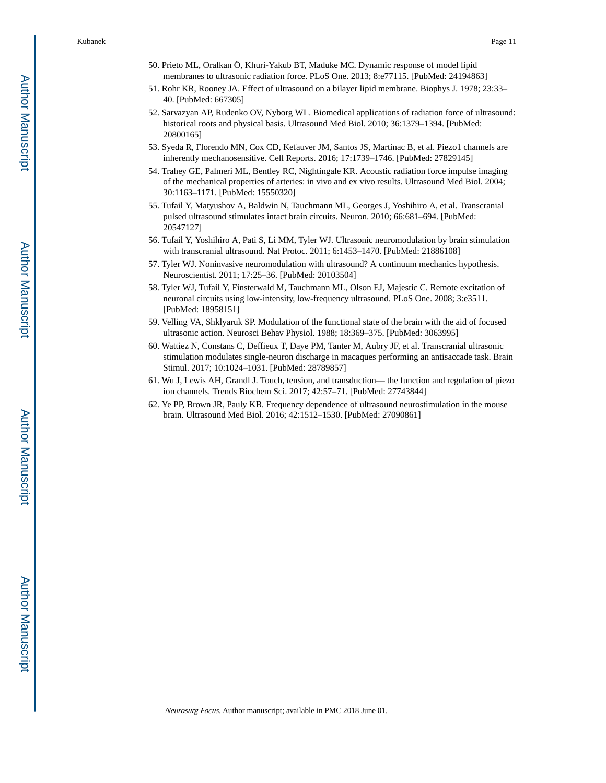- 50. Prieto ML, Oralkan Ö, Khuri-Yakub BT, Maduke MC. Dynamic response of model lipid membranes to ultrasonic radiation force. PLoS One. 2013; 8:e77115. [PubMed: 24194863]
- 51. Rohr KR, Rooney JA. Effect of ultrasound on a bilayer lipid membrane. Biophys J. 1978; 23:33– 40. [PubMed: 667305]
- 52. Sarvazyan AP, Rudenko OV, Nyborg WL. Biomedical applications of radiation force of ultrasound: historical roots and physical basis. Ultrasound Med Biol. 2010; 36:1379–1394. [PubMed: 20800165]
- 53. Syeda R, Florendo MN, Cox CD, Kefauver JM, Santos JS, Martinac B, et al. Piezo1 channels are inherently mechanosensitive. Cell Reports. 2016; 17:1739–1746. [PubMed: 27829145]
- 54. Trahey GE, Palmeri ML, Bentley RC, Nightingale KR. Acoustic radiation force impulse imaging of the mechanical properties of arteries: in vivo and ex vivo results. Ultrasound Med Biol. 2004; 30:1163–1171. [PubMed: 15550320]
- 55. Tufail Y, Matyushov A, Baldwin N, Tauchmann ML, Georges J, Yoshihiro A, et al. Transcranial pulsed ultrasound stimulates intact brain circuits. Neuron. 2010; 66:681–694. [PubMed: 20547127]
- 56. Tufail Y, Yoshihiro A, Pati S, Li MM, Tyler WJ. Ultrasonic neuromodulation by brain stimulation with transcranial ultrasound. Nat Protoc. 2011; 6:1453–1470. [PubMed: 21886108]
- 57. Tyler WJ. Noninvasive neuromodulation with ultrasound? A continuum mechanics hypothesis. Neuroscientist. 2011; 17:25–36. [PubMed: 20103504]
- 58. Tyler WJ, Tufail Y, Finsterwald M, Tauchmann ML, Olson EJ, Majestic C. Remote excitation of neuronal circuits using low-intensity, low-frequency ultrasound. PLoS One. 2008; 3:e3511. [PubMed: 18958151]
- 59. Velling VA, Shklyaruk SP. Modulation of the functional state of the brain with the aid of focused ultrasonic action. Neurosci Behav Physiol. 1988; 18:369–375. [PubMed: 3063995]
- 60. Wattiez N, Constans C, Deffieux T, Daye PM, Tanter M, Aubry JF, et al. Transcranial ultrasonic stimulation modulates single-neuron discharge in macaques performing an antisaccade task. Brain Stimul. 2017; 10:1024–1031. [PubMed: 28789857]
- 61. Wu J, Lewis AH, Grandl J. Touch, tension, and transduction— the function and regulation of piezo ion channels. Trends Biochem Sci. 2017; 42:57–71. [PubMed: 27743844]
- 62. Ye PP, Brown JR, Pauly KB. Frequency dependence of ultrasound neurostimulation in the mouse brain. Ultrasound Med Biol. 2016; 42:1512–1530. [PubMed: 27090861]